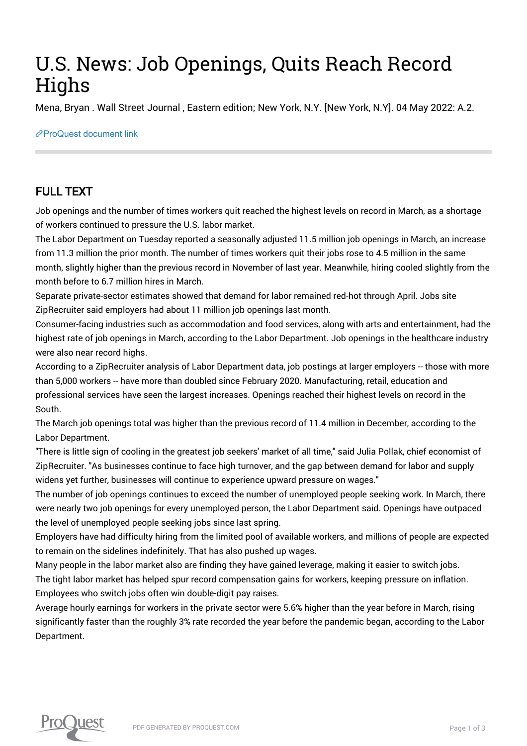## U.S. News: Job Openings, Quits Reach Record **Highs**

Mena, Bryan . Wall Street Journal , Eastern edition; New York, N.Y. [New York, N.Y]. 04 May 2022: A.2.

[ProQuest document link](https://www.proquest.com/newspapers/u-s-news-job-openings-quits-reach-record-highs/docview/2659017748/se-2?accountid=44910)

### FULL TEXT

Job openings and the number of times workers quit reached the highest levels on record in March, as a shortage of workers continued to pressure the U.S. labor market.

The Labor Department on Tuesday reported a seasonally adjusted 11.5 million job openings in March, an increase from 11.3 million the prior month. The number of times workers quit their jobs rose to 4.5 million in the same month, slightly higher than the previous record in November of last year. Meanwhile, hiring cooled slightly from the month before to 6.7 million hires in March.

Separate private-sector estimates showed that demand for labor remained red-hot through April. Jobs site ZipRecruiter said employers had about 11 million job openings last month.

Consumer-facing industries such as accommodation and food services, along with arts and entertainment, had the highest rate of job openings in March, according to the Labor Department. Job openings in the healthcare industry were also near record highs.

According to a ZipRecruiter analysis of Labor Department data, job postings at larger employers -- those with more than 5,000 workers -- have more than doubled since February 2020. Manufacturing, retail, education and professional services have seen the largest increases. Openings reached their highest levels on record in the South.

The March job openings total was higher than the previous record of 11.4 million in December, according to the Labor Department.

"There is little sign of cooling in the greatest job seekers' market of all time," said Julia Pollak, chief economist of ZipRecruiter. "As businesses continue to face high turnover, and the gap between demand for labor and supply widens yet further, businesses will continue to experience upward pressure on wages."

The number of job openings continues to exceed the number of unemployed people seeking work. In March, there were nearly two job openings for every unemployed person, the Labor Department said. Openings have outpaced the level of unemployed people seeking jobs since last spring.

Employers have had difficulty hiring from the limited pool of available workers, and millions of people are expected to remain on the sidelines indefinitely. That has also pushed up wages.

Many people in the labor market also are finding they have gained leverage, making it easier to switch jobs. The tight labor market has helped spur record compensation gains for workers, keeping pressure on inflation. Employees who switch jobs often win double-digit pay raises.

Average hourly earnings for workers in the private sector were 5.6% higher than the year before in March, rising significantly faster than the roughly 3% rate recorded the year before the pandemic began, according to the Labor Department.

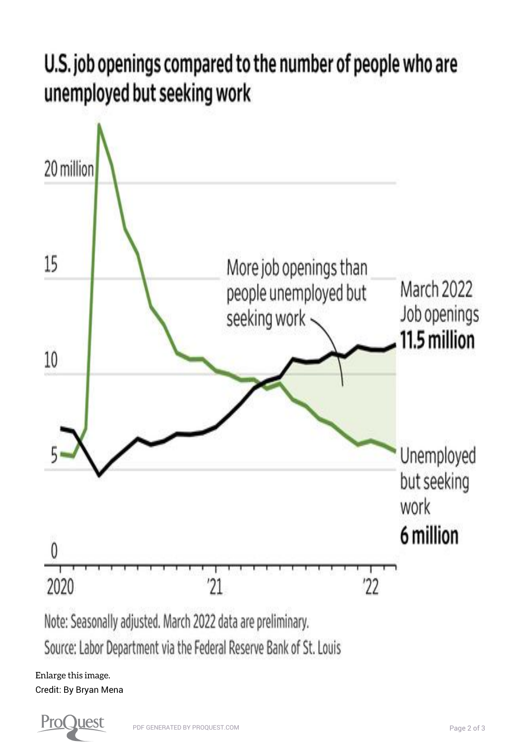# U.S. job openings compared to the number of people who are unemployed but seeking work



[Enlarge this image.](https://www.proquest.comhttps://www.proquest.com/textgraphic/2659017748/fulltextwithgraphics/AF132392E2F84517PQ/1/1?accountid=44910) Credit: By Bryan Mena